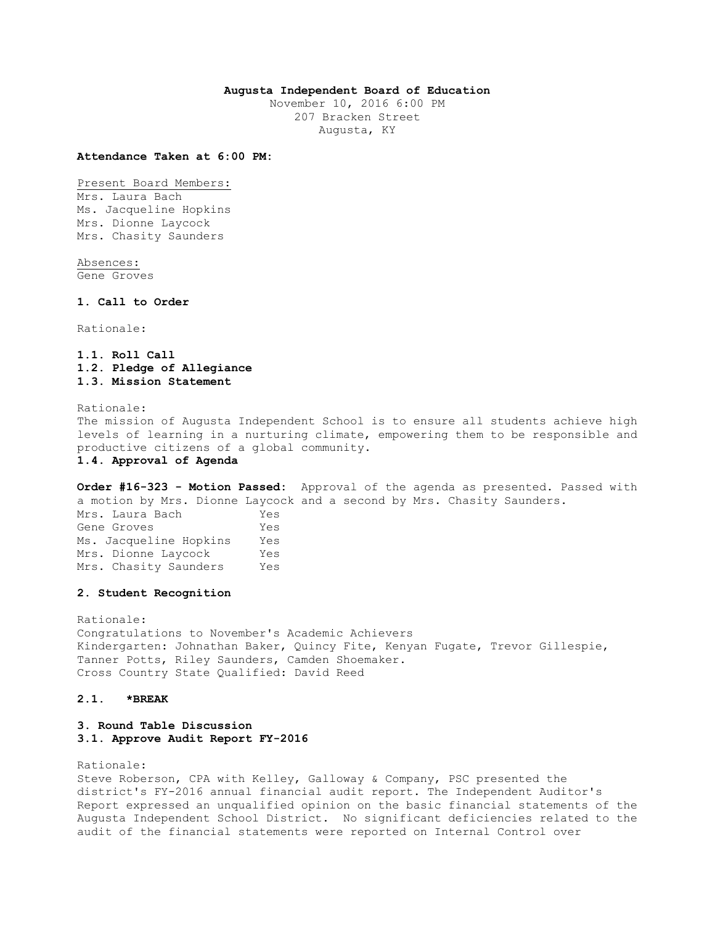### **Augusta Independent Board of Education**

November 10, 2016 6:00 PM 207 Bracken Street Augusta, KY

#### **Attendance Taken at 6:00 PM:**

Present Board Members: Mrs. Laura Bach Ms. Jacqueline Hopkins Mrs. Dionne Laycock Mrs. Chasity Saunders

Absences: Gene Groves

#### **1. Call to Order**

Rationale:

**1.1. Roll Call 1.2. Pledge of Allegiance 1.3. Mission Statement** 

Rationale: The mission of Augusta Independent School is to ensure all students achieve high levels of learning in a nurturing climate, empowering them to be responsible and productive citizens of a global community. **1.4. Approval of Agenda** 

**Order #16-323 - Motion Passed:** Approval of the agenda as presented. Passed with a motion by Mrs. Dionne Laycock and a second by Mrs. Chasity Saunders. Mrs. Laura Bach Yes Gene Groves Yes Ms. Jacqueline Hopkins Yes Mrs. Dionne Laycock Yes Mrs. Chasity Saunders Yes

#### **2. Student Recognition**

Rationale: Congratulations to November's Academic Achievers Kindergarten: Johnathan Baker, Quincy Fite, Kenyan Fugate, Trevor Gillespie, Tanner Potts, Riley Saunders, Camden Shoemaker. Cross Country State Qualified: David Reed

#### **2.1. \*BREAK**

## **3. Round Table Discussion 3.1. Approve Audit Report FY-2016**

Rationale:

Steve Roberson, CPA with Kelley, Galloway & Company, PSC presented the district's FY-2016 annual financial audit report. The Independent Auditor's Report expressed an unqualified opinion on the basic financial statements of the Augusta Independent School District. No significant deficiencies related to the audit of the financial statements were reported on Internal Control over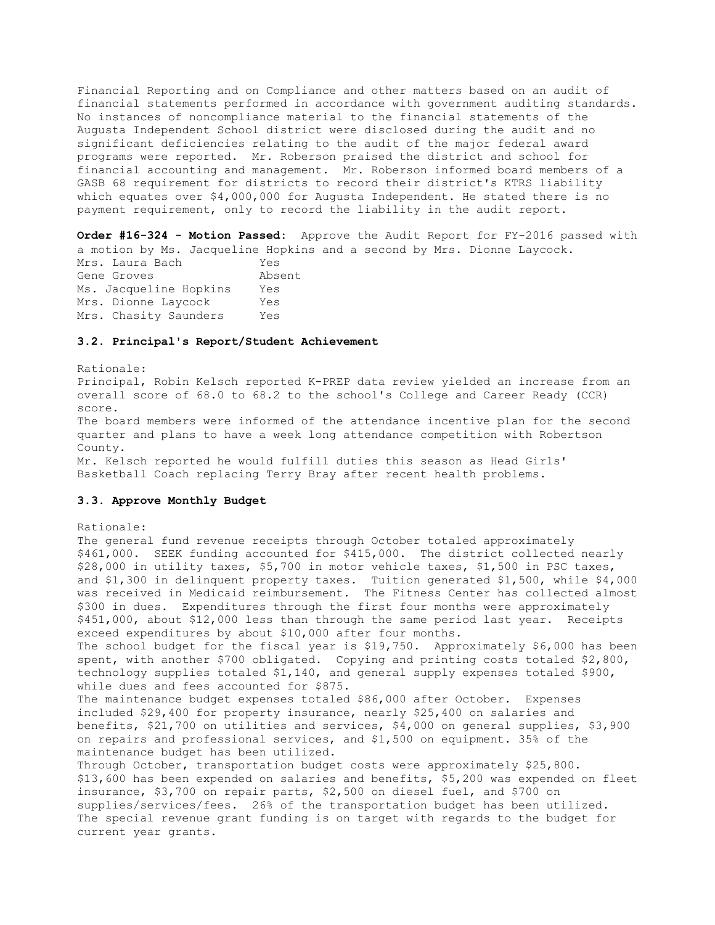Financial Reporting and on Compliance and other matters based on an audit of financial statements performed in accordance with government auditing standards. No instances of noncompliance material to the financial statements of the Augusta Independent School district were disclosed during the audit and no significant deficiencies relating to the audit of the major federal award programs were reported. Mr. Roberson praised the district and school for financial accounting and management. Mr. Roberson informed board members of a GASB 68 requirement for districts to record their district's KTRS liability which equates over \$4,000,000 for Augusta Independent. He stated there is no payment requirement, only to record the liability in the audit report.

**Order #16-324 - Motion Passed:** Approve the Audit Report for FY-2016 passed with a motion by Ms. Jacqueline Hopkins and a second by Mrs. Dionne Laycock. Mrs. Laura Bach Yes Gene Groves **Absent** Ms. Jacqueline Hopkins Yes Mrs. Dionne Laycock Yes Mrs. Chasity Saunders Yes

#### **3.2. Principal's Report/Student Achievement**

Rationale: Principal, Robin Kelsch reported K-PREP data review yielded an increase from an overall score of 68.0 to 68.2 to the school's College and Career Ready (CCR) score.

The board members were informed of the attendance incentive plan for the second quarter and plans to have a week long attendance competition with Robertson County.

Mr. Kelsch reported he would fulfill duties this season as Head Girls' Basketball Coach replacing Terry Bray after recent health problems.

#### **3.3. Approve Monthly Budget**

Rationale:

The general fund revenue receipts through October totaled approximately \$461,000. SEEK funding accounted for \$415,000. The district collected nearly \$28,000 in utility taxes, \$5,700 in motor vehicle taxes, \$1,500 in PSC taxes, and \$1,300 in delinquent property taxes. Tuition generated \$1,500, while \$4,000 was received in Medicaid reimbursement. The Fitness Center has collected almost \$300 in dues. Expenditures through the first four months were approximately \$451,000, about \$12,000 less than through the same period last year. Receipts exceed expenditures by about \$10,000 after four months. The school budget for the fiscal year is \$19,750. Approximately \$6,000 has been spent, with another \$700 obligated. Copying and printing costs totaled \$2,800, technology supplies totaled \$1,140, and general supply expenses totaled \$900, while dues and fees accounted for \$875. The maintenance budget expenses totaled \$86,000 after October. Expenses included \$29,400 for property insurance, nearly \$25,400 on salaries and benefits, \$21,700 on utilities and services, \$4,000 on general supplies, \$3,900 on repairs and professional services, and \$1,500 on equipment. 35% of the maintenance budget has been utilized. Through October, transportation budget costs were approximately \$25,800. \$13,600 has been expended on salaries and benefits, \$5,200 was expended on fleet insurance, \$3,700 on repair parts, \$2,500 on diesel fuel, and \$700 on supplies/services/fees. 26% of the transportation budget has been utilized. The special revenue grant funding is on target with regards to the budget for current year grants.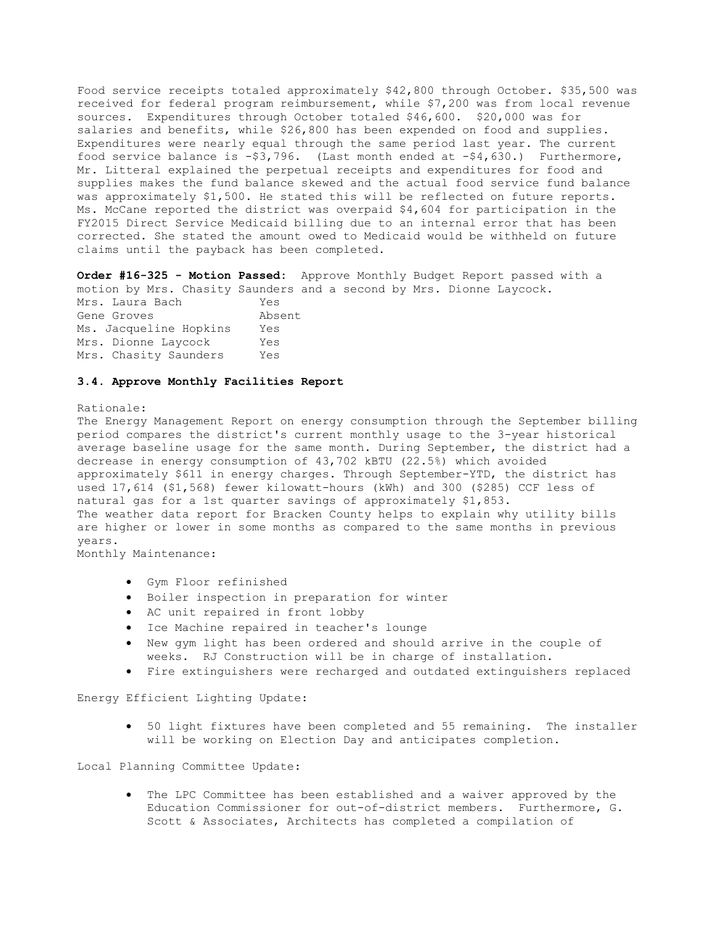Food service receipts totaled approximately \$42,800 through October. \$35,500 was received for federal program reimbursement, while \$7,200 was from local revenue sources. Expenditures through October totaled \$46,600. \$20,000 was for salaries and benefits, while \$26,800 has been expended on food and supplies. Expenditures were nearly equal through the same period last year. The current food service balance is -\$3,796. (Last month ended at -\$4,630.) Furthermore, Mr. Litteral explained the perpetual receipts and expenditures for food and supplies makes the fund balance skewed and the actual food service fund balance was approximately \$1,500. He stated this will be reflected on future reports. Ms. McCane reported the district was overpaid \$4,604 for participation in the FY2015 Direct Service Medicaid billing due to an internal error that has been corrected. She stated the amount owed to Medicaid would be withheld on future claims until the payback has been completed.

**Order #16-325 - Motion Passed:** Approve Monthly Budget Report passed with a motion by Mrs. Chasity Saunders and a second by Mrs. Dionne Laycock. Mrs. Laura Bach Yes Gene Groves Absent Ms. Jacqueline Hopkins Yes Mrs. Dionne Laycock Yes Mrs. Chasity Saunders Yes

### **3.4. Approve Monthly Facilities Report**

#### Rationale:

The Energy Management Report on energy consumption through the September billing period compares the district's current monthly usage to the 3-year historical average baseline usage for the same month. During September, the district had a decrease in energy consumption of 43,702 kBTU (22.5%) which avoided approximately \$611 in energy charges. Through September-YTD, the district has used 17,614 (\$1,568) fewer kilowatt-hours (kWh) and 300 (\$285) CCF less of natural gas for a 1st quarter savings of approximately \$1,853. The weather data report for Bracken County helps to explain why utility bills are higher or lower in some months as compared to the same months in previous years.

Monthly Maintenance:

- Gym Floor refinished
- Boiler inspection in preparation for winter
- AC unit repaired in front lobby
- Ice Machine repaired in teacher's lounge
- New gym light has been ordered and should arrive in the couple of weeks. RJ Construction will be in charge of installation.
- Fire extinguishers were recharged and outdated extinguishers replaced

Energy Efficient Lighting Update:

 50 light fixtures have been completed and 55 remaining. The installer will be working on Election Day and anticipates completion.

Local Planning Committee Update:

 The LPC Committee has been established and a waiver approved by the Education Commissioner for out-of-district members. Furthermore, G. Scott & Associates, Architects has completed a compilation of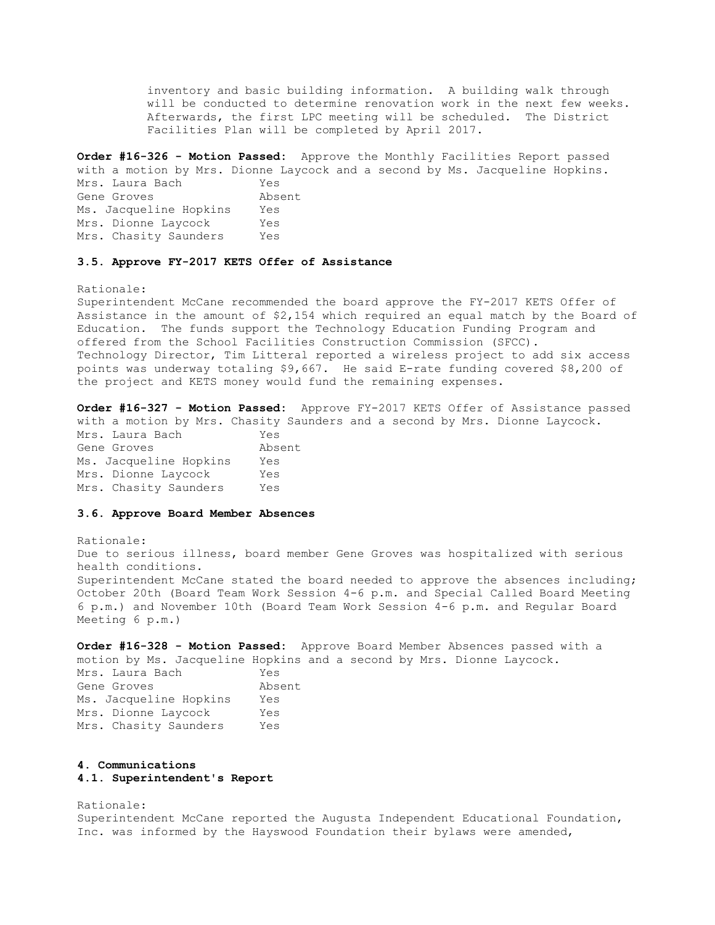inventory and basic building information. A building walk through will be conducted to determine renovation work in the next few weeks. Afterwards, the first LPC meeting will be scheduled. The District Facilities Plan will be completed by April 2017.

**Order #16-326 - Motion Passed:** Approve the Monthly Facilities Report passed with a motion by Mrs. Dionne Laycock and a second by Ms. Jacqueline Hopkins. Mrs. Laura Bach Yes Gene Groves Absent Ms. Jacqueline Hopkins Yes Mrs. Dionne Laycock Yes Mrs. Chasity Saunders Yes

#### **3.5. Approve FY-2017 KETS Offer of Assistance**

Rationale:

Superintendent McCane recommended the board approve the FY-2017 KETS Offer of Assistance in the amount of \$2,154 which required an equal match by the Board of Education. The funds support the Technology Education Funding Program and offered from the School Facilities Construction Commission (SFCC). Technology Director, Tim Litteral reported a wireless project to add six access points was underway totaling \$9,667. He said E-rate funding covered \$8,200 of the project and KETS money would fund the remaining expenses.

**Order #16-327 - Motion Passed:** Approve FY-2017 KETS Offer of Assistance passed with a motion by Mrs. Chasity Saunders and a second by Mrs. Dionne Laycock. Mrs. Laura Bach Yes Gene Groves **Absent** Ms. Jacqueline Hopkins Yes Mrs. Dionne Laycock Yes Mrs. Chasity Saunders Yes

### **3.6. Approve Board Member Absences**

Rationale: Due to serious illness, board member Gene Groves was hospitalized with serious health conditions. Superintendent McCane stated the board needed to approve the absences including; October 20th (Board Team Work Session 4-6 p.m. and Special Called Board Meeting 6 p.m.) and November 10th (Board Team Work Session 4-6 p.m. and Regular Board Meeting 6 p.m.)

**Order #16-328 - Motion Passed:** Approve Board Member Absences passed with a motion by Ms. Jacqueline Hopkins and a second by Mrs. Dionne Laycock.

| Mrs. Laura Bach        | Yes    |
|------------------------|--------|
| Gene Groves            | Absent |
| Ms. Jacqueline Hopkins | Yes    |
| Mrs. Dionne Laycock    | Yes    |
| Mrs. Chasity Saunders  | Yes    |

### **4. Communications**

#### **4.1. Superintendent's Report**

Rationale: Superintendent McCane reported the Augusta Independent Educational Foundation, Inc. was informed by the Hayswood Foundation their bylaws were amended,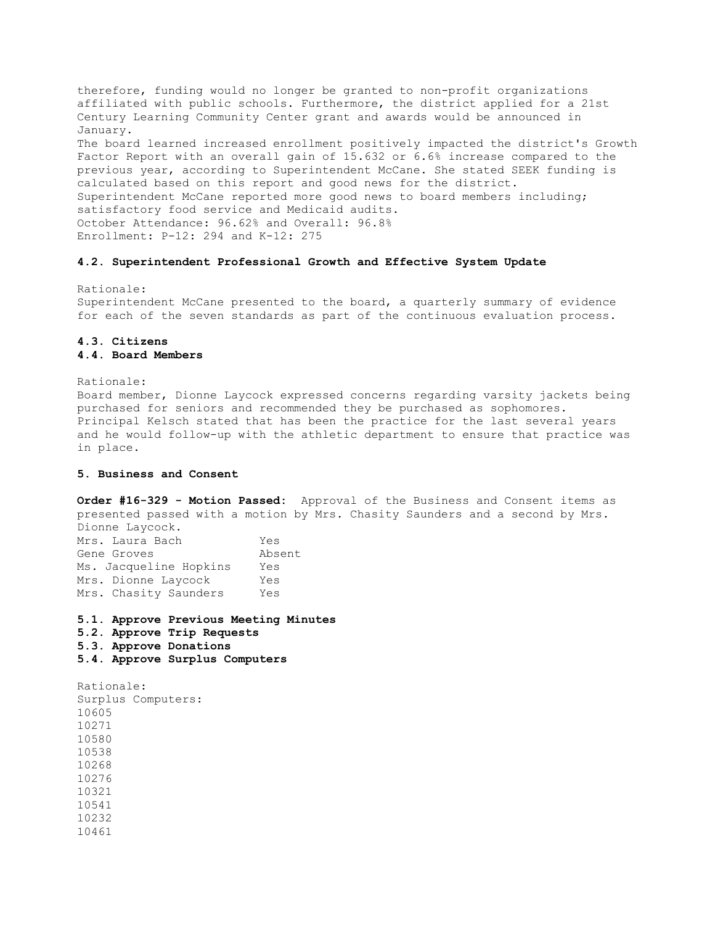therefore, funding would no longer be granted to non-profit organizations affiliated with public schools. Furthermore, the district applied for a 21st Century Learning Community Center grant and awards would be announced in January. The board learned increased enrollment positively impacted the district's Growth Factor Report with an overall gain of 15.632 or 6.6% increase compared to the previous year, according to Superintendent McCane. She stated SEEK funding is calculated based on this report and good news for the district. Superintendent McCane reported more good news to board members including; satisfactory food service and Medicaid audits. October Attendance: 96.62% and Overall: 96.8% Enrollment: P-12: 294 and K-12: 275

### **4.2. Superintendent Professional Growth and Effective System Update**

Rationale: Superintendent McCane presented to the board, a quarterly summary of evidence for each of the seven standards as part of the continuous evaluation process.

# **4.3. Citizens 4.4. Board Members**

Rationale: Board member, Dionne Laycock expressed concerns regarding varsity jackets being purchased for seniors and recommended they be purchased as sophomores. Principal Kelsch stated that has been the practice for the last several years and he would follow-up with the athletic department to ensure that practice was in place.

### **5. Business and Consent**

**Order #16-329 - Motion Passed:** Approval of the Business and Consent items as presented passed with a motion by Mrs. Chasity Saunders and a second by Mrs. Dionne Laycock.

| Mrs. Laura Bach        | Yes    |
|------------------------|--------|
| Gene Groves            | Absent |
| Ms. Jacqueline Hopkins | Yes    |
| Mrs. Dionne Laycock    | Yes    |
| Mrs. Chasity Saunders  | Yes    |

- **5.1. Approve Previous Meeting Minutes**
- **5.2. Approve Trip Requests**
- **5.3. Approve Donations**
- **5.4. Approve Surplus Computers**